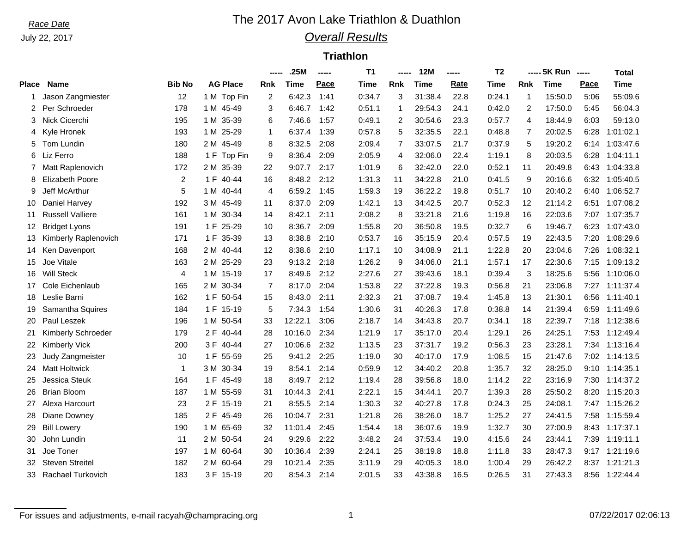### July 22, 2017

## *Race Date* **The 2017 Avon Lake Triathlon & Duathlon** *Overall Results*

### **Triathlon**

|                |                         |                |                 | -----          | .25M    | ----- | T1          | ----- | <b>12M</b> | ----- | T <sub>2</sub> |            | ----- 5K Run ----- |      | <b>Total</b> |
|----------------|-------------------------|----------------|-----------------|----------------|---------|-------|-------------|-------|------------|-------|----------------|------------|--------------------|------|--------------|
| <b>Place</b>   | <b>Name</b>             | <b>Bib No</b>  | <b>AG Place</b> | Rnk            | Time    | Pace  | <b>Time</b> | Rnk   | Time       | Rate  | Time           | <b>Rnk</b> | <b>Time</b>        | Pace | <b>Time</b>  |
| 1              | Jason Zangmiester       | 12             | 1 M Top Fin     | 2              | 6:42.3  | 1:41  | 0:34.7      | 3     | 31:38.4    | 22.8  | 0:24.1         | 1          | 15:50.0            | 5:06 | 55:09.6      |
| $\overline{2}$ | Per Schroeder           | 178            | 1 M 45-49       | 3              | 6:46.7  | 1:42  | 0:51.1      | 1     | 29:54.3    | 24.1  | 0:42.0         | 2          | 17:50.0            | 5:45 | 56:04.3      |
| 3              | Nick Cicerchi           | 195            | 35-39<br>1 M    | 6              | 7:46.6  | 1:57  | 0:49.1      | 2     | 30:54.6    | 23.3  | 0:57.7         | 4          | 18:44.9            | 6:03 | 59:13.0      |
| 4              | Kyle Hronek             | 193            | 25-29<br>1 M    | 1              | 6:37.4  | 1:39  | 0:57.8      | 5     | 32:35.5    | 22.1  | 0:48.8         | 7          | 20:02.5            | 6:28 | 1:01:02.1    |
| 5              | Tom Lundin              | 180            | 2 M 45-49       | 8              | 8:32.5  | 2:08  | 2:09.4      | 7     | 33:07.5    | 21.7  | 0:37.9         | 5          | 19:20.2            | 6:14 | 1:03:47.6    |
| 6              | Liz Ferro               | 188            | 1 F<br>Top Fin  | 9              | 8:36.4  | 2:09  | 2:05.9      | 4     | 32:06.0    | 22.4  | 1:19.1         | 8          | 20:03.5            | 6:28 | 1:04:11.1    |
|                | Matt Raplenovich        | 172            | 2 M 35-39       | 22             | 9:07.7  | 2:17  | 1:01.9      | 6     | 32:42.0    | 22.0  | 0:52.1         | 11         | 20:49.8            | 6:43 | 1:04:33.8    |
| 8              | <b>Elizabeth Poore</b>  | $\overline{2}$ | 1 F<br>40-44    | 16             | 8:48.2  | 2:12  | 1:31.3      | 11    | 34:22.8    | 21.0  | 0:41.5         | 9          | 20:16.6            | 6:32 | 1:05:40.5    |
| 9              | <b>Jeff McArthur</b>    | 5              | 1 M 40-44       | 4              | 6:59.2  | 1:45  | 1:59.3      | 19    | 36:22.2    | 19.8  | 0:51.7         | 10         | 20:40.2            | 6:40 | 1:06:52.7    |
| 10             | Daniel Harvey           | 192            | 3 M 45-49       | 11             | 8:37.0  | 2:09  | 1:42.1      | 13    | 34:42.5    | 20.7  | 0:52.3         | 12         | 21:14.2            | 6:51 | 1:07:08.2    |
| 11             | <b>Russell Valliere</b> | 161            | 1 M 30-34       | 14             | 8:42.1  | 2:11  | 2:08.2      | 8     | 33:21.8    | 21.6  | 1:19.8         | 16         | 22:03.6            | 7:07 | 1:07:35.7    |
| 12             | <b>Bridget Lyons</b>    | 191            | 25-29<br>1 F    | 10             | 8:36.7  | 2:09  | 1:55.8      | 20    | 36:50.8    | 19.5  | 0:32.7         | 6          | 19:46.7            | 6:23 | 1:07:43.0    |
| 13             | Kimberly Raplenovich    | 171            | 1 F<br>35-39    | 13             | 8:38.8  | 2:10  | 0:53.7      | 16    | 35:15.9    | 20.4  | 0:57.5         | 19         | 22:43.5            | 7:20 | 1:08:29.6    |
| 14             | Ken Davenport           | 168            | 2 M 40-44       | 12             | 8:38.6  | 2:10  | 1:17.1      | 10    | 34:08.9    | 21.1  | 1:22.8         | 20         | 23:04.6            | 7:26 | 1:08:32.1    |
| 15             | Joe Vitale              | 163            | 2 M 25-29       | 23             | 9:13.2  | 2:18  | 1:26.2      | 9     | 34:06.0    | 21.1  | 1:57.1         | 17         | 22:30.6            | 7:15 | 1:09:13.2    |
| 16             | <b>Will Steck</b>       | $\overline{4}$ | 1 M 15-19       | 17             | 8:49.6  | 2:12  | 2:27.6      | 27    | 39:43.6    | 18.1  | 0:39.4         | 3          | 18:25.6            | 5:56 | 1:10:06.0    |
| 17             | Cole Eichenlaub         | 165            | 2 M 30-34       | $\overline{7}$ | 8:17.0  | 2:04  | 1:53.8      | 22    | 37:22.8    | 19.3  | 0:56.8         | 21         | 23:06.8            | 7:27 | 1:11:37.4    |
| 18             | Leslie Barni            | 162            | 1 F<br>50-54    | 15             | 8:43.0  | 2:11  | 2:32.3      | 21    | 37:08.7    | 19.4  | 1:45.8         | 13         | 21:30.1            | 6:56 | 1:11:40.1    |
| 19             | Samantha Squires        | 184            | 1 F<br>$15-19$  | 5              | 7:34.3  | 1:54  | 1:30.6      | 31    | 40:26.3    | 17.8  | 0:38.8         | 14         | 21:39.4            | 6:59 | 1:11:49.6    |
| 20             | Paul Leszek             | 196            | 1 M 50-54       | 33             | 12:22.1 | 3:06  | 2:18.7      | 14    | 34:43.8    | 20.7  | 0:34.1         | 18         | 22:39.7            | 7:18 | 1:12:38.6    |
| 21             | Kimberly Schroeder      | 179            | 2 F<br>40-44    | 28             | 10:16.0 | 2:34  | 1:21.9      | 17    | 35:17.0    | 20.4  | 1:29.1         | 26         | 24:25.1            | 7:53 | 1:12:49.4    |
| 22             | Kimberly Vick           | 200            | 3 F<br>40-44    | 27             | 10:06.6 | 2:32  | 1:13.5      | 23    | 37:31.7    | 19.2  | 0:56.3         | 23         | 23:28.1            | 7:34 | 1:13:16.4    |
| 23             | Judy Zangmeister        | 10             | 1 F<br>55-59    | 25             | 9:41.2  | 2:25  | 1:19.0      | 30    | 40:17.0    | 17.9  | 1:08.5         | 15         | 21:47.6            | 7:02 | 1:14:13.5    |
| 24             | <b>Matt Holtwick</b>    | $\mathbf{1}$   | 3 M 30-34       | 19             | 8:54.1  | 2:14  | 0:59.9      | 12    | 34:40.2    | 20.8  | 1:35.7         | 32         | 28:25.0            | 9:10 | 1:14:35.1    |
| 25             | <b>Jessica Steuk</b>    | 164            | 1 F 45-49       | 18             | 8:49.7  | 2:12  | 1:19.4      | 28    | 39:56.8    | 18.0  | 1:14.2         | 22         | 23:16.9            | 7:30 | 1:14:37.2    |
| 26             | <b>Brian Bloom</b>      | 187            | 1 M 55-59       | 31             | 10:44.3 | 2:41  | 2:22.1      | 15    | 34:44.1    | 20.7  | 1:39.3         | 28         | 25:50.2            | 8:20 | 1:15:20.3    |
| 27             | Alexa Harcourt          | 23             | 2 F<br>$15-19$  | 21             | 8:55.5  | 2:14  | 1:30.3      | 32    | 40:27.8    | 17.8  | 0:24.3         | 25         | 24:08.1            | 7:47 | 1:15:26.2    |
| 28             | Diane Downey            | 185            | 2 F 45-49       | 26             | 10:04.7 | 2:31  | 1:21.8      | 26    | 38:26.0    | 18.7  | 1:25.2         | 27         | 24:41.5            | 7:58 | 1:15:59.4    |
| 29             | <b>Bill Lowery</b>      | 190            | 1 M 65-69       | 32             | 11:01.4 | 2:45  | 1:54.4      | 18    | 36:07.6    | 19.9  | 1:32.7         | 30         | 27:00.9            | 8:43 | 1:17:37.1    |
| 30             | John Lundin             | 11             | 2 M 50-54       | 24             | 9:29.6  | 2:22  | 3:48.2      | 24    | 37:53.4    | 19.0  | 4:15.6         | 24         | 23:44.1            | 7:39 | 1:19:11.1    |
| 31             | Joe Toner               | 197            | 1 M 60-64       | 30             | 10:36.4 | 2:39  | 2:24.1      | 25    | 38:19.8    | 18.8  | 1:11.8         | 33         | 28:47.3            | 9:17 | 1:21:19.6    |
| 32             | <b>Steven Streitel</b>  | 182            | 2 M 60-64       | 29             | 10:21.4 | 2:35  | 3:11.9      | 29    | 40:05.3    | 18.0  | 1:00.4         | 29         | 26:42.2            | 8:37 | 1:21:21.3    |
| 33             | Rachael Turkovich       | 183            | 3 F 15-19       | 20             | 8:54.3  | 2:14  | 2:01.5      | 33    | 43:38.8    | 16.5  | 0:26.5         | 31         | 27:43.3            | 8:56 | 1:22:44.4    |
|                |                         |                |                 |                |         |       |             |       |            |       |                |            |                    |      |              |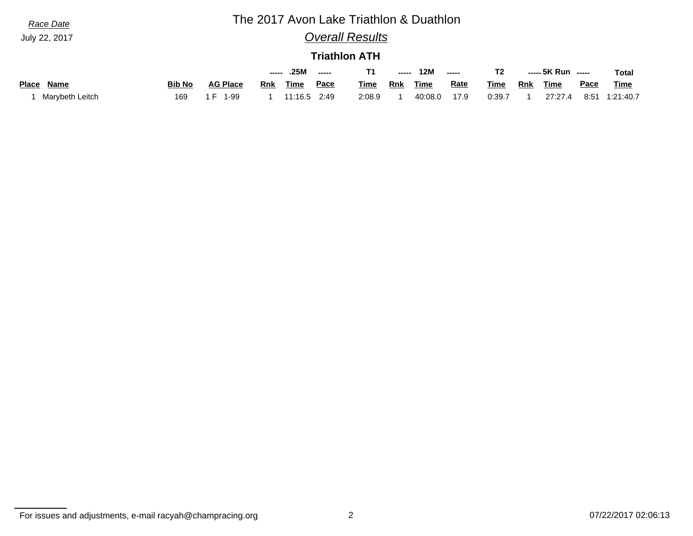| Race Date            | The 2017 Avon Lake Triathlon & Duathlon |                 |     |              |      |             |       |         |             |             |            |                    |      |           |
|----------------------|-----------------------------------------|-----------------|-----|--------------|------|-------------|-------|---------|-------------|-------------|------------|--------------------|------|-----------|
| July 22, 2017        | <b>Overall Results</b>                  |                 |     |              |      |             |       |         |             |             |            |                    |      |           |
|                      | <b>Triathlon ATH</b>                    |                 |     |              |      |             |       |         |             |             |            |                    |      |           |
|                      |                                         |                 |     | .25M         |      | T1          | ----- | 12M     | -----       | T2          |            | ----- 5K Run ----- |      | Total     |
| Name<br><b>Place</b> | <b>Bib No</b>                           | <b>AG Place</b> | Rnk | Time         | Pace | <b>Time</b> | Rnk   | Time    | <u>Rate</u> | <b>Time</b> | <b>Rnk</b> | Time               | Pace | Time      |
| Marybeth Leitch      | 169                                     | 1-99<br>' H     |     | 11:16.5 2:49 |      | 2:08.9      |       | 40:08.0 | 17.9        | 0:39.7      |            | 27:27.4            | 8:51 | 1:21:40.7 |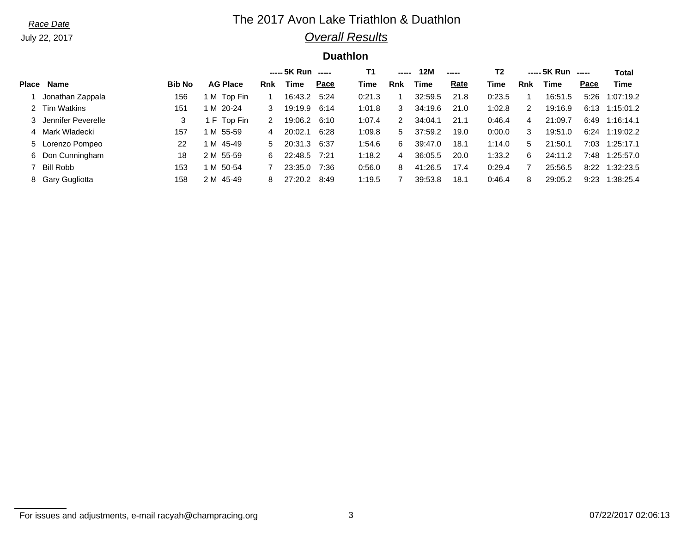July 22, 2017

## *Race Date* **The 2017 Avon Lake Triathlon & Duathlon** *Overall Results*

## **Duathlon**

|              |                      |               |                 |            | ----- 5K Run |      | Τ1     | ----- | 12M     | ----- | T <sub>2</sub> |            | ----- 5K Run |      | Total     |
|--------------|----------------------|---------------|-----------------|------------|--------------|------|--------|-------|---------|-------|----------------|------------|--------------|------|-----------|
| <b>Place</b> | <b>Name</b>          | <b>Bib No</b> | <b>AG Place</b> | <b>Rnk</b> | <u>Time</u>  | Pace | Time   | Rnk   | Time    | Rate  | Time           | <b>Rnk</b> | Time         | Pace | Time      |
|              | Jonathan Zappala     | 156           | M Top Fin       |            | 16:43.2      | 5:24 | 0:21.3 |       | 32:59.5 | 21.8  | 0:23.5         |            | 16:51.5      | 5:26 | 1:07:19.2 |
|              | 2 Tim Watkins        | 151           | IM 20-24        | 3          | 19:19.9      | 6:14 | 1:01.8 | 3     | 34:19.6 | 21.0  | 1:02.8         | 2          | 19:16.9      | 6:13 | 1:15:01.2 |
|              | 3 Jennifer Peverelle | 3             | F Top Fin       | 2          | 19:06.2      | 6:10 | 1:07.4 |       | 34:04.1 | 21.1  | 0:46.4         | 4          | 21:09.7      | 6:49 | 1:16:14.1 |
|              | 4 Mark Wladecki      | 157           | IM 55-59        | 4          | 20:02.1      | 6:28 | 1:09.8 | 5.    | 37:59.2 | 19.0  | 0:00.0         | 3          | 19:51.0      | 6:24 | 1:19:02.2 |
|              | 5 Lorenzo Pompeo     | 22            | M 45-49         | 5.         | 20:31.3      | 6:37 | 1:54.6 | 6     | 39:47.0 | 18.1  | 1:14.0         | 5          | 21:50.1      | 7:03 | 1:25:17.1 |
|              | 6 Don Cunningham     | 18            | 2 M 55-59       | 6.         | 22:48.5      | 7:21 | 1:18.2 | 4     | 36:05.5 | 20.0  | 1:33.2         | 6          | 24:11.2      | 7:48 | 1:25:57.0 |
|              | Bill Robb            | 153           | M 50-54         |            | 23:35.0      | 7:36 | 0:56.0 | 8     | 41:26.5 | 17.4  | 0:29.4         |            | 25:56.5      | 8:22 | 1:32:23.5 |
|              | 8 Gary Gugliotta     | 158           | 2 M 45-49       | 8          | 27:20.2      | 8:49 | 1:19.5 |       | 39:53.8 | 18.1  | 0:46.4         | 8          | 29:05.2      | 9:23 | 1:38:25.4 |

For issues and adjustments, e-mail racyah@champracing.org 3 07/22/2017 02:06:13